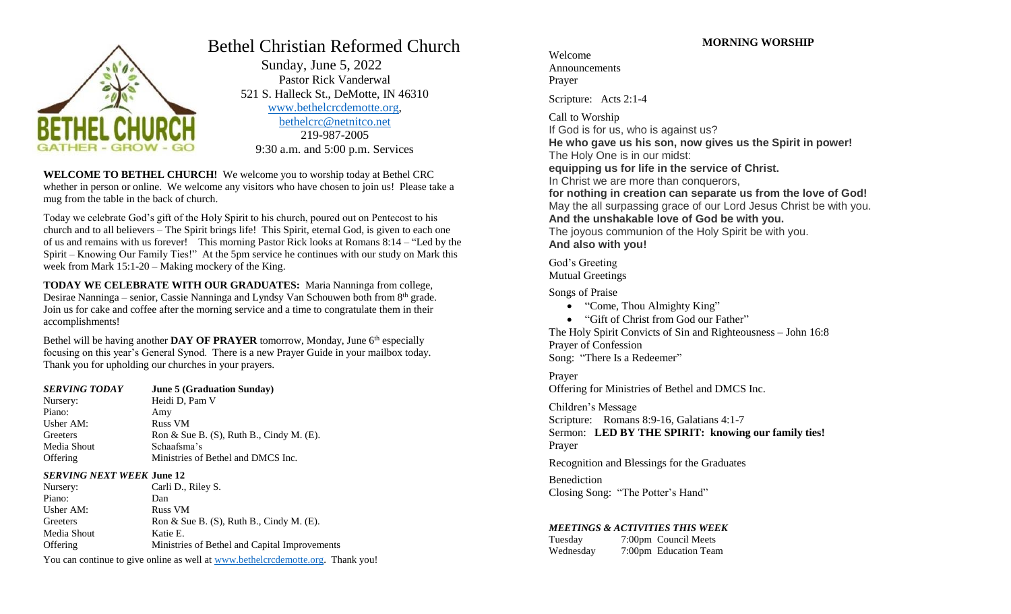

# Bethel Christian Reformed Church

 Sunday, June 5, 2022 Pastor Rick Vanderwal 521 S. Halleck St., DeMotte, IN 46310 [www.bethelcrcdemotte.org,](http://www.bethelcrcdemotte.org/) [bethelcrc@netnitco.net](mailto:bethelcrc@netnitco.net) 219-987-2005 9:30 a.m. and 5:00 p.m. Services

**WELCOME TO BETHEL CHURCH!** We welcome you to worship today at Bethel CRC whether in person or online. We welcome any visitors who have chosen to join us! Please take a mug from the table in the back of church.

Today we celebrate God's gift of the Holy Spirit to his church, poured out on Pentecost to his church and to all believers – The Spirit brings life! This Spirit, eternal God, is given to each one of us and remains with us forever! This morning Pastor Rick looks at Romans 8:14 – "Led by the Spirit – Knowing Our Family Ties!" At the 5pm service he continues with our study on Mark this week from Mark 15:1-20 – Making mockery of the King.

**TODAY WE CELEBRATE WITH OUR GRADUATES:** Maria Nanninga from college, Desirae Nanninga – senior, Cassie Nanninga and Lyndsy Van Schouwen both from  $8<sup>th</sup>$  grade. Join us for cake and coffee after the morning service and a time to congratulate them in their accomplishments!

Bethel will be having another **DAY OF PRAYER** tomorrow, Monday, June 6<sup>th</sup> especially focusing on this year's General Synod. There is a new Prayer Guide in your mailbox today. Thank you for upholding our churches in your prayers.

| <b>SERVING TODAY</b> | <b>June 5 (Graduation Sunday)</b>              |
|----------------------|------------------------------------------------|
| Nursery:             | Heidi D, Pam V                                 |
| Piano:               | Amy                                            |
| Usher AM:            | <b>Russ VM</b>                                 |
| Greeters             | Ron & Sue B. $(S)$ , Ruth B., Cindy M. $(E)$ . |
| Media Shout          | Schaafsma's                                    |
| Offering             | Ministries of Bethel and DMCS Inc.             |

#### *SERVING NEXT WEEK* **June 12**

| Nursery:        | Carli D., Riley S.                             |
|-----------------|------------------------------------------------|
| Piano:          | Dan                                            |
| Usher $AM:$     | <b>Russ VM</b>                                 |
| Greeters        | Ron & Sue B. $(S)$ , Ruth B., Cindy M. $(E)$ . |
| Media Shout     | Katie E.                                       |
| <b>Offering</b> | Ministries of Bethel and Capital Improvements  |

You can continue to give online as well at [www.bethelcrcdemotte.org.](http://www.bethelcrcdemotte.org/) Thank you!

# Welcome Announcements Prayer

Scripture: Acts 2:1-4

Call to Worship If God is for us, who is against us? **He who gave us his son, now gives us the Spirit in power!** The Holy One is in our midst: **equipping us for life in the service of Christ.** In Christ we are more than conquerors, **for nothing in creation can separate us from the love of God!** May the all surpassing grace of our Lord Jesus Christ be with you. **And the unshakable love of God be with you.** The joyous communion of the Holy Spirit be with you. **And also with you!**

God's Greeting Mutual Greetings

Songs of Praise

- "Come, Thou Almighty King"
- "Gift of Christ from God our Father"

The Holy Spirit Convicts of Sin and Righteousness – John 16:8 Prayer of Confession Song: "There Is a Redeemer"

Prayer Offering for Ministries of Bethel and DMCS Inc.

Children's Message Scripture: Romans 8:9-16, Galatians 4:1-7 Sermon: **LED BY THE SPIRIT: knowing our family ties!** Prayer

Recognition and Blessings for the Graduates

Benediction Closing Song: "The Potter's Hand"

#### *MEETINGS & ACTIVITIES THIS WEEK*

Tuesday 7:00pm Council Meets Wednesday 7:00pm Education Team